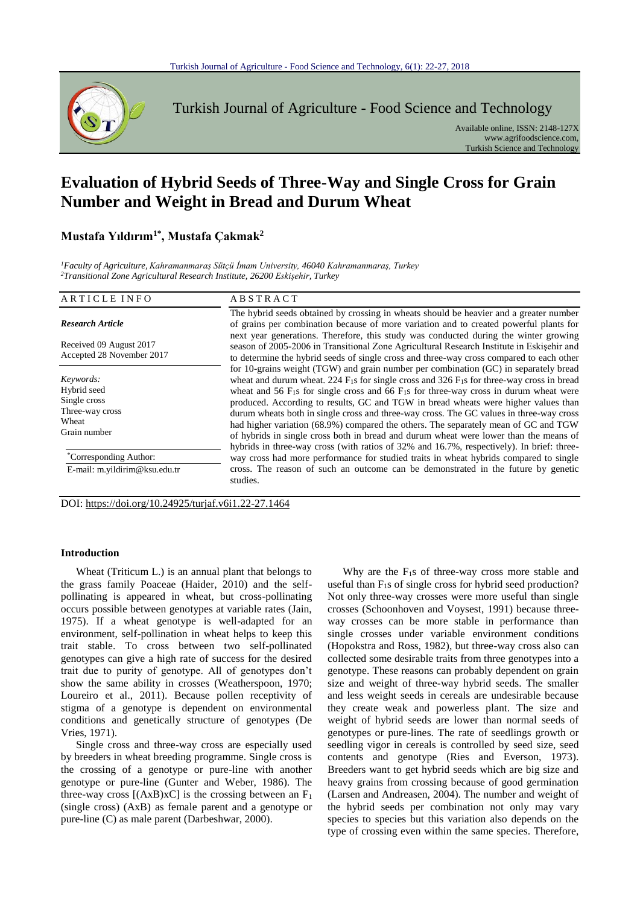

Turkish Journal of Agriculture - Food Science and Technology

Available online, ISSN: 2148-127X www.agrifoodscience.com, Turkish Science and Technology

# **Evaluation of Hybrid Seeds of Three-Way and Single Cross for Grain Number and Weight in Bread and Durum Wheat**

# **Mustafa Yıldırım1\*, Mustafa Çakmak<sup>2</sup>**

*<sup>1</sup>Faculty of Agriculture, Kahramanmaraş Sütçü İmam University, 46040 Kahramanmaraş, Turkey <sup>2</sup>Transitional Zone Agricultural Research Institute, 26200 Eskişehir, Turkey*

| ARTICLE INFO                                                                         | <b>ABSTRACT</b>                                                                                                                                                                                                                                                                                                                                                                                                                                                                                                                                                                                                                                                                                                                                        |
|--------------------------------------------------------------------------------------|--------------------------------------------------------------------------------------------------------------------------------------------------------------------------------------------------------------------------------------------------------------------------------------------------------------------------------------------------------------------------------------------------------------------------------------------------------------------------------------------------------------------------------------------------------------------------------------------------------------------------------------------------------------------------------------------------------------------------------------------------------|
| <b>Research Article</b>                                                              | The hybrid seeds obtained by crossing in wheats should be heavier and a greater number<br>of grains per combination because of more variation and to created powerful plants for                                                                                                                                                                                                                                                                                                                                                                                                                                                                                                                                                                       |
| Received 09 August 2017<br>Accepted 28 November 2017                                 | next year generations. Therefore, this study was conducted during the winter growing<br>season of 2005-2006 in Transitional Zone Agricultural Research Institute in Eskişehir and<br>to determine the hybrid seeds of single cross and three-way cross compared to each other                                                                                                                                                                                                                                                                                                                                                                                                                                                                          |
| Keywords:<br>Hybrid seed<br>Single cross<br>Three-way cross<br>Wheat<br>Grain number | for 10-grains weight (TGW) and grain number per combination (GC) in separately bread<br>wheat and durum wheat. 224 $F_1s$ for single cross and 326 $F_1s$ for three-way cross in bread<br>wheat and 56 $F_{1s}$ for single cross and 66 $F_{1s}$ for three-way cross in durum wheat were<br>produced. According to results, GC and TGW in bread wheats were higher values than<br>durum wheats both in single cross and three-way cross. The GC values in three-way cross<br>had higher variation (68.9%) compared the others. The separately mean of GC and TGW<br>of hybrids in single cross both in bread and durum wheat were lower than the means of<br>hybrids in three-way cross (with ratios of 32% and 16.7%, respectively). In brief: three- |
| <i>Corresponding Author:</i><br>E-mail: m.yildirim@ksu.edu.tr                        | way cross had more performance for studied traits in wheat hybrids compared to single<br>cross. The reason of such an outcome can be demonstrated in the future by genetic<br>studies.                                                                                                                                                                                                                                                                                                                                                                                                                                                                                                                                                                 |

DOI: https://doi.org/10.24925/turjaf.v6i1.22-27.1464

# **Introduction**

Wheat (Triticum L.) is an annual plant that belongs to the grass family Poaceae (Haider, 2010) and the selfpollinating is appeared in wheat, but cross-pollinating occurs possible between genotypes at variable rates (Jain, 1975). If a wheat genotype is well-adapted for an environment, self-pollination in wheat helps to keep this trait stable. To cross between two self-pollinated genotypes can give a high rate of success for the desired trait due to purity of genotype. All of genotypes don't show the same ability in crosses (Weatherspoon, 1970; Loureiro et al., 2011). Because pollen receptivity of stigma of a genotype is dependent on environmental conditions and genetically structure of genotypes (De Vries, 1971).

Single cross and three-way cross are especially used by breeders in wheat breeding programme. Single cross is the crossing of a genotype or pure-line with another genotype or pure-line (Gunter and Weber, 1986). The three-way cross  $[(AxB)xC]$  is the crossing between an  $F_1$ (single cross) (AxB) as female parent and a genotype or pure-line (C) as male parent (Darbeshwar, 2000).

Why are the  $F_1s$  of three-way cross more stable and useful than  $F_1s$  of single cross for hybrid seed production? Not only three-way crosses were more useful than single crosses (Schoonhoven and Voysest, 1991) because threeway crosses can be more stable in performance than single crosses under variable environment conditions (Hopokstra and Ross, 1982), but three-way cross also can collected some desirable traits from three genotypes into a genotype. These reasons can probably dependent on grain size and weight of three-way hybrid seeds. The smaller and less weight seeds in cereals are undesirable because they create weak and powerless plant. The size and weight of hybrid seeds are lower than normal seeds of genotypes or pure-lines. The rate of seedlings growth or seedling vigor in cereals is controlled by seed size, seed contents and genotype (Ries and Everson, 1973). Breeders want to get hybrid seeds which are big size and heavy grains from crossing because of good germination (Larsen and Andreasen, 2004). The number and weight of the hybrid seeds per combination not only may vary species to species but this variation also depends on the type of crossing even within the same species. Therefore,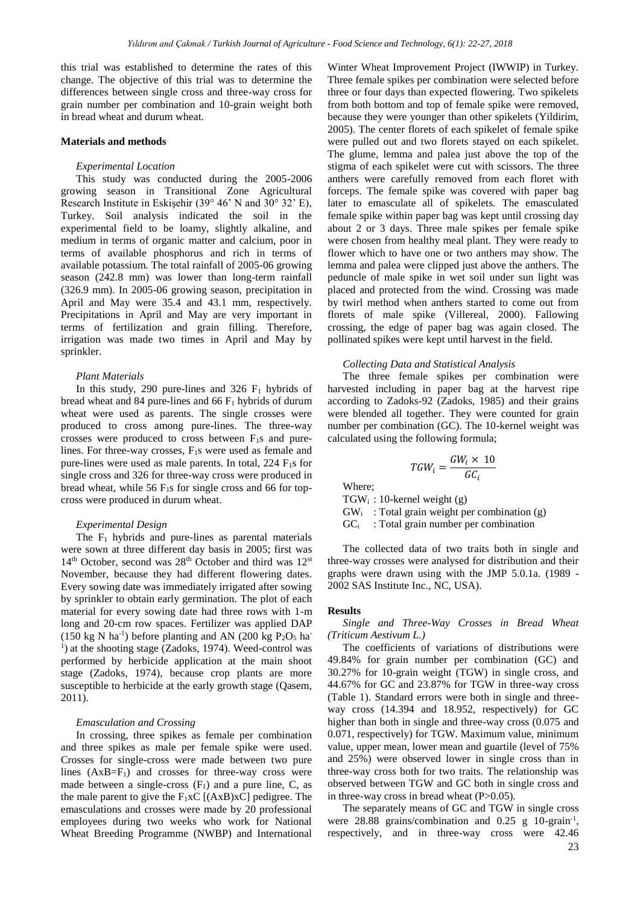this trial was established to determine the rates of this change. The objective of this trial was to determine the differences between single cross and three-way cross for grain number per combination and 10-grain weight both in bread wheat and durum wheat.

#### **Materials and methods**

#### *Experimental Location*

This study was conducted during the 2005-2006 growing season in Transitional Zone Agricultural Research Institute in Eskişehir (39° 46' N and 30° 32' E), Turkey. Soil analysis indicated the soil in the experimental field to be loamy, slightly alkaline, and medium in terms of organic matter and calcium, poor in terms of available phosphorus and rich in terms of available potassium. The total rainfall of 2005-06 growing season (242.8 mm) was lower than long-term rainfall (326.9 mm). In 2005-06 growing season, precipitation in April and May were 35.4 and 43.1 mm, respectively. Precipitations in April and May are very important in terms of fertilization and grain filling. Therefore, irrigation was made two times in April and May by sprinkler.

#### *Plant Materials*

In this study, 290 pure-lines and 326  $F_1$  hybrids of bread wheat and 84 pure-lines and 66  $F_1$  hybrids of durum wheat were used as parents. The single crosses were produced to cross among pure-lines. The three-way crosses were produced to cross between F1s and purelines. For three-way crosses, F1s were used as female and pure-lines were used as male parents. In total,  $224 \text{ F}_1\text{s}$  for single cross and 326 for three-way cross were produced in bread wheat, while 56  $F_1$ s for single cross and 66 for topcross were produced in durum wheat.

#### *Experimental Design*

The  $F_1$  hybrids and pure-lines as parental materials were sown at three different day basis in 2005; first was  $14<sup>th</sup>$  October, second was  $28<sup>th</sup>$  October and third was  $12<sup>st</sup>$ November, because they had different flowering dates. Every sowing date was immediately irrigated after sowing by sprinkler to obtain early germination. The plot of each material for every sowing date had three rows with 1-m long and 20-cm row spaces. Fertilizer was applied DAP  $(150 \text{ kg N} \text{ ha}^{-1})$  before planting and AN  $(200 \text{ kg } P_2O_5 \text{ ha}^{-1})$ <sup>1</sup>) at the shooting stage (Zadoks, 1974). Weed-control was performed by herbicide application at the main shoot stage (Zadoks, 1974), because crop plants are more susceptible to herbicide at the early growth stage (Qasem, 2011).

#### *Emasculation and Crossing*

In crossing, three spikes as female per combination and three spikes as male per female spike were used. Crosses for single-cross were made between two pure lines  $(AxB=F_1)$  and crosses for three-way cross were made between a single-cross  $(F_1)$  and a pure line, C, as the male parent to give the  $F_1xC$  [(AxB)xC] pedigree. The emasculations and crosses were made by 20 professional employees during two weeks who work for National Wheat Breeding Programme (NWBP) and International

Winter Wheat Improvement Project (IWWIP) in Turkey. Three female spikes per combination were selected before three or four days than expected flowering. Two spikelets from both bottom and top of female spike were removed, because they were younger than other spikelets (Yildirim, 2005). The center florets of each spikelet of female spike were pulled out and two florets stayed on each spikelet. The glume, lemma and palea just above the top of the stigma of each spikelet were cut with scissors. The three anthers were carefully removed from each floret with forceps. The female spike was covered with paper bag later to emasculate all of spikelets. The emasculated female spike within paper bag was kept until crossing day about 2 or 3 days. Three male spikes per female spike were chosen from healthy meal plant. They were ready to flower which to have one or two anthers may show. The lemma and palea were clipped just above the anthers. The peduncle of male spike in wet soil under sun light was placed and protected from the wind. Crossing was made by twirl method when anthers started to come out from florets of male spike (Villereal, 2000). Fallowing crossing, the edge of paper bag was again closed. The pollinated spikes were kept until harvest in the field.

#### *Collecting Data and Statistical Analysis*

The three female spikes per combination were harvested including in paper bag at the harvest ripe according to Zadoks-92 (Zadoks, 1985) and their grains were blended all together. They were counted for grain number per combination (GC). The 10-kernel weight was calculated using the following formula;

$$
TGW_i = \frac{GW_i \times 10}{GC_i}
$$

Where;  $TGW_i$ : 10-kernel weight (g)  $GW_i$ : Total grain weight per combination (g)  $GC<sub>i</sub>$ : Total grain number per combination

The collected data of two traits both in single and three-way crosses were analysed for distribution and their graphs were drawn using with the JMP 5.0.1a. (1989 - 2002 SAS Institute Inc., NC, USA).

### **Results**

*Single and Three-Way Crosses in Bread Wheat (Triticum Aestivum L.)*

The coefficients of variations of distributions were 49.84% for grain number per combination (GC) and 30.27% for 10-grain weight (TGW) in single cross, and 44.67% for GC and 23.87% for TGW in three-way cross (Table 1). Standard errors were both in single and threeway cross (14.394 and 18.952, respectively) for GC higher than both in single and three-way cross (0.075 and 0.071, respectively) for TGW. Maximum value, minimum value, upper mean, lower mean and guartile (level of 75% and 25%) were observed lower in single cross than in three-way cross both for two traits. The relationship was observed between TGW and GC both in single cross and in three-way cross in bread wheat  $(P>0.05)$ .

The separately means of GC and TGW in single cross were 28.88 grains/combination and 0.25 g 10-grain<sup>-1</sup>, respectively, and in three-way cross were 42.46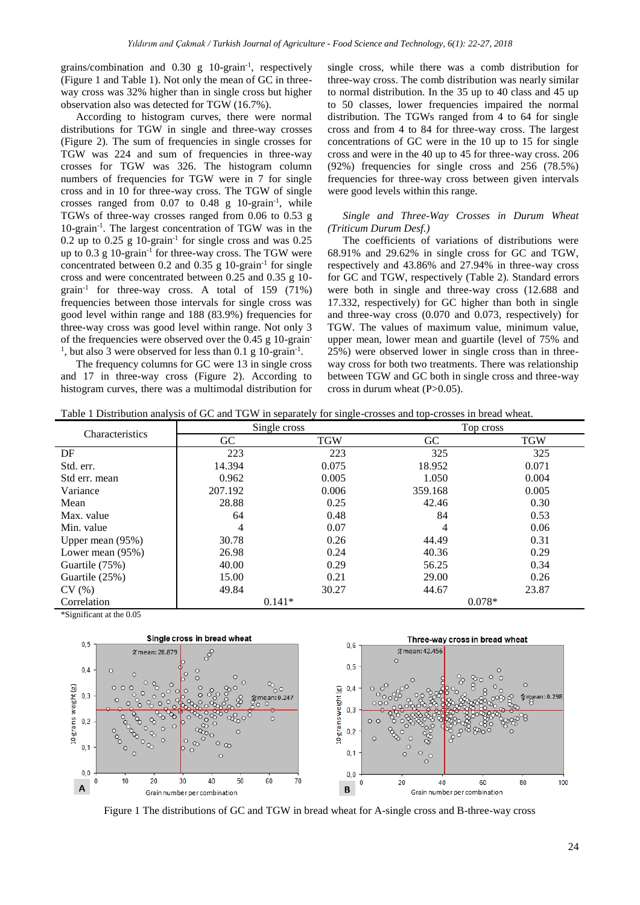grains/combination and 0.30 g 10-grain-1 , respectively (Figure 1 and Table 1). Not only the mean of GC in threeway cross was 32% higher than in single cross but higher observation also was detected for TGW (16.7%).

According to histogram curves, there were normal distributions for TGW in single and three-way crosses (Figure 2). The sum of frequencies in single crosses for TGW was 224 and sum of frequencies in three-way crosses for TGW was 326. The histogram column numbers of frequencies for TGW were in 7 for single cross and in 10 for three-way cross. The TGW of single crosses ranged from  $0.07$  to  $0.48$  g  $10$ -grain<sup>-1</sup>, while TGWs of three-way crosses ranged from 0.06 to 0.53 g 10-grain-1 . The largest concentration of TGW was in the 0.2 up to 0.25  $g$  10-grain<sup>-1</sup> for single cross and was 0.25 up to 0.3 g 10-grain<sup>-1</sup> for three-way cross. The TGW were concentrated between 0.2 and 0.35 g 10-grain-1 for single cross and were concentrated between 0.25 and 0.35 g 10 grain-1 for three-way cross. A total of 159 (71%) frequencies between those intervals for single cross was good level within range and 188 (83.9%) frequencies for three-way cross was good level within range. Not only 3 of the frequencies were observed over the 0.45 g 10-grain-<sup>1</sup>, but also 3 were observed for less than 0.1 g 10-grain<sup>-1</sup>.

The frequency columns for GC were 13 in single cross and 17 in three-way cross (Figure 2). According to histogram curves, there was a multimodal distribution for

single cross, while there was a comb distribution for three-way cross. The comb distribution was nearly similar to normal distribution. In the 35 up to 40 class and 45 up to 50 classes, lower frequencies impaired the normal distribution. The TGWs ranged from 4 to 64 for single cross and from 4 to 84 for three-way cross. The largest concentrations of GC were in the 10 up to 15 for single cross and were in the 40 up to 45 for three-way cross. 206 (92%) frequencies for single cross and 256 (78.5%) frequencies for three-way cross between given intervals were good levels within this range.

# *Single and Three-Way Crosses in Durum Wheat (Triticum Durum Desf.)*

The coefficients of variations of distributions were 68.91% and 29.62% in single cross for GC and TGW, respectively and 43.86% and 27.94% in three-way cross for GC and TGW, respectively (Table 2). Standard errors were both in single and three-way cross (12.688 and 17.332, respectively) for GC higher than both in single and three-way cross (0.070 and 0.073, respectively) for TGW. The values of maximum value, minimum value, upper mean, lower mean and guartile (level of 75% and 25%) were observed lower in single cross than in threeway cross for both two treatments. There was relationship between TGW and GC both in single cross and three-way cross in durum wheat (P>0.05).

|  | Table 1 Distribution analysis of GC and TGW in separately for single-crosses and top-crosses in bread wheat. |
|--|--------------------------------------------------------------------------------------------------------------|
|  |                                                                                                              |

| Characteristics    | Single cross |            | Top cross |            |  |
|--------------------|--------------|------------|-----------|------------|--|
|                    | <b>GC</b>    | <b>TGW</b> | GC.       | <b>TGW</b> |  |
| DF                 | 223          | 223        | 325       | 325        |  |
| Std. err.          | 14.394       | 0.075      | 18.952    | 0.071      |  |
| Std err. mean      | 0.962        | 0.005      | 1.050     | 0.004      |  |
| Variance           | 207.192      | 0.006      | 359.168   | 0.005      |  |
| Mean               | 28.88        | 0.25       | 42.46     | 0.30       |  |
| Max. value         | 64           | 0.48       | 84        | 0.53       |  |
| Min. value         | 4            | 0.07       | 4         | 0.06       |  |
| Upper mean (95%)   | 30.78        | 0.26       | 44.49     | 0.31       |  |
| Lower mean $(95%)$ | 26.98        | 0.24       | 40.36     | 0.29       |  |
| Guartile (75%)     | 40.00        | 0.29       | 56.25     | 0.34       |  |
| Guartile (25%)     | 15.00        | 0.21       | 29.00     | 0.26       |  |
| CV(%)              | 49.84        | 30.27      | 44.67     | 23.87      |  |
| Correlation        | $0.141*$     |            | $0.078*$  |            |  |

\*Significant at the 0.05



Figure 1 The distributions of GC and TGW in bread wheat for A-single cross and B-three-way cross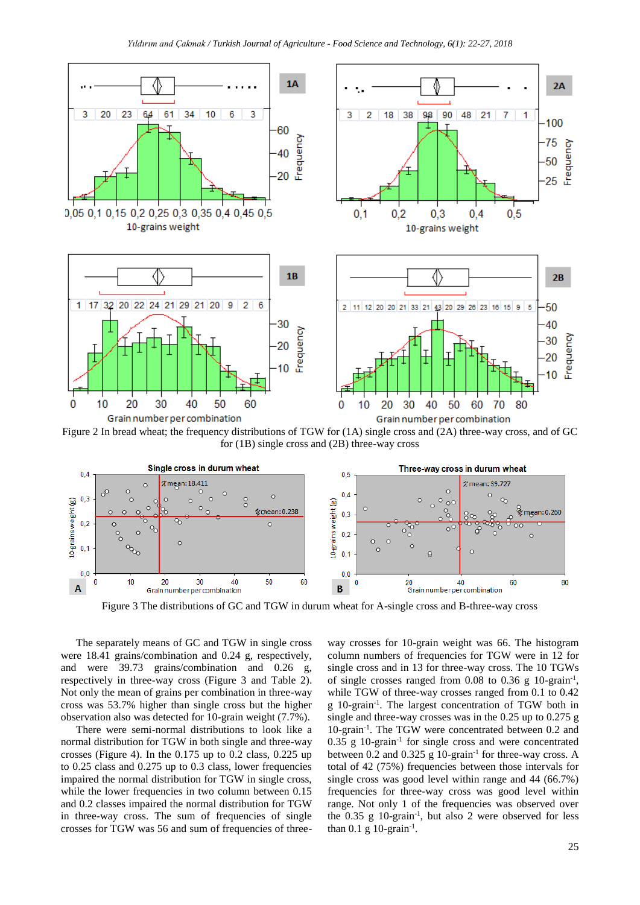

Figure 2 In bread wheat; the frequency distributions of TGW for (1A) single cross and (2A) three-way cross, and of GC for (1B) single cross and (2B) three-way cross



Figure 3 The distributions of GC and TGW in durum wheat for A-single cross and B-three-way cross

The separately means of GC and TGW in single cross were 18.41 grains/combination and 0.24 g, respectively, and were 39.73 grains/combination and 0.26 g, respectively in three-way cross (Figure 3 and Table 2). Not only the mean of grains per combination in three-way cross was 53.7% higher than single cross but the higher observation also was detected for 10-grain weight (7.7%).

There were semi-normal distributions to look like a normal distribution for TGW in both single and three-way crosses (Figure 4). In the 0.175 up to 0.2 class, 0.225 up to 0.25 class and 0.275 up to 0.3 class, lower frequencies impaired the normal distribution for TGW in single cross, while the lower frequencies in two column between  $0.15$ and 0.2 classes impaired the normal distribution for TGW in three-way cross. The sum of frequencies of single crosses for TGW was 56 and sum of frequencies of three-

way crosses for 10-grain weight was 66. The histogram column numbers of frequencies for TGW were in 12 for single cross and in 13 for three-way cross. The 10 TGWs of single crosses ranged from 0.08 to 0.36 g 10-grain-1 , while TGW of three-way crosses ranged from 0.1 to 0.42 g 10-grain-1 . The largest concentration of TGW both in single and three-way crosses was in the 0.25 up to 0.275 g 10-grain-1 . The TGW were concentrated between 0.2 and  $0.35$  g  $10$ -grain<sup>-1</sup> for single cross and were concentrated between 0.2 and 0.325 g 10-grain<sup>-1</sup> for three-way cross. A total of 42 (75%) frequencies between those intervals for single cross was good level within range and 44 (66.7%) frequencies for three-way cross was good level within range. Not only 1 of the frequencies was observed over the  $0.35$  g  $10\text{-}grain^{-1}$ , but also 2 were observed for less than  $0.1$  g  $10$ -grain<sup>-1</sup>.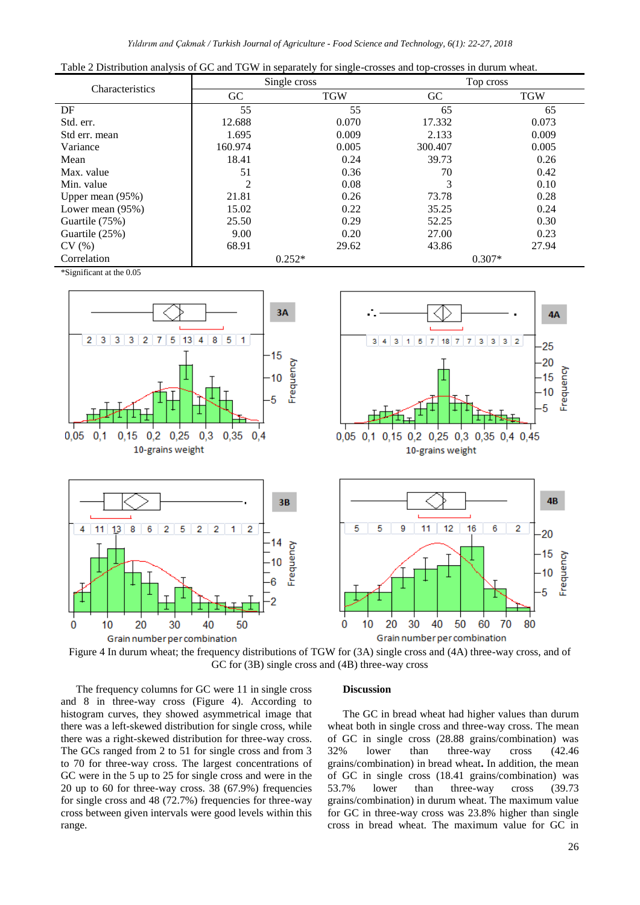| Table 2 Distribution analysis of GC and TGW in separately for single-crosses and top-crosses in durum wheat. |  |  |  |  |  |  |  |  |  |  |  |  |
|--------------------------------------------------------------------------------------------------------------|--|--|--|--|--|--|--|--|--|--|--|--|
|--------------------------------------------------------------------------------------------------------------|--|--|--|--|--|--|--|--|--|--|--|--|

|                    |                             | Single cross | Top cross |            |  |
|--------------------|-----------------------------|--------------|-----------|------------|--|
| Characteristics    | GC                          | <b>TGW</b>   | GC        | <b>TGW</b> |  |
| DF                 | 55                          | 55           | 65        | 65         |  |
| Std. err.          | 12.688                      | 0.070        | 17.332    | 0.073      |  |
| Std err. mean      | 1.695                       | 0.009        | 2.133     | 0.009      |  |
| Variance           | 160.974                     | 0.005        | 300.407   | 0.005      |  |
| Mean               | 18.41                       | 0.24         | 39.73     | 0.26       |  |
| Max. value         | 51                          | 0.36         | 70        | 0.42       |  |
| Min. value         | $\mathcal{D}_{\mathcal{L}}$ | 0.08         | 3         | 0.10       |  |
| Upper mean $(95%)$ | 21.81                       | 0.26         | 73.78     | 0.28       |  |
| Lower mean (95%)   | 15.02                       | 0.22         | 35.25     | 0.24       |  |
| Guartile (75%)     | 25.50                       | 0.29         | 52.25     | 0.30       |  |
| Guartile (25%)     | 9.00                        | 0.20         | 27.00     | 0.23       |  |
| CV(%)              | 68.91                       | 29.62        | 43.86     | 27.94      |  |
| Correlation        |                             | $0.252*$     | $0.307*$  |            |  |

\*Significant at the 0.05



Figure 4 In durum wheat; the frequency distributions of TGW for (3A) single cross and (4A) three-way cross, and of GC for (3B) single cross and (4B) three-way cross

The frequency columns for GC were 11 in single cross and 8 in three-way cross (Figure 4). According to histogram curves, they showed asymmetrical image that there was a left-skewed distribution for single cross, while there was a right-skewed distribution for three-way cross. The GCs ranged from 2 to 51 for single cross and from 3 to 70 for three-way cross. The largest concentrations of GC were in the 5 up to 25 for single cross and were in the 20 up to 60 for three-way cross. 38 (67.9%) frequencies for single cross and 48 (72.7%) frequencies for three-way cross between given intervals were good levels within this range.

#### **Discussion**

The GC in bread wheat had higher values than durum wheat both in single cross and three-way cross. The mean of GC in single cross (28.88 grains/combination) was 32% lower than three-way cross (42.46 grains/combination) in bread wheat**.** In addition, the mean of GC in single cross (18.41 grains/combination) was 53.7% lower than three-way cross (39.73 grains/combination) in durum wheat. The maximum value for GC in three-way cross was 23.8% higher than single cross in bread wheat. The maximum value for GC in